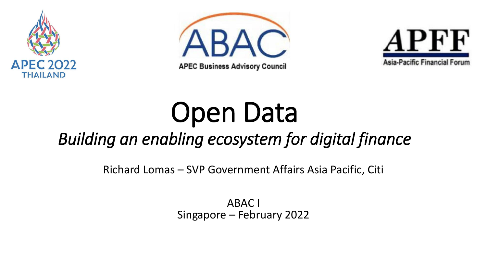





# Open Data

#### *Building an enabling ecosystem for digital finance*

Richard Lomas – SVP Government Affairs Asia Pacific, Citi

ABAC I Singapore – February 2022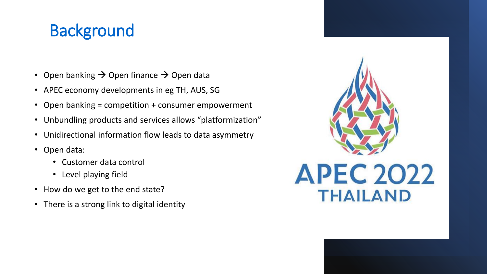#### **Background**

- Open banking  $\rightarrow$  Open finance  $\rightarrow$  Open data
- APEC economy developments in eg TH, AUS, SG
- Open banking = competition + consumer empowerment
- Unbundling products and services allows "platformization"
- Unidirectional information flow leads to data asymmetry
- Open data:
	- Customer data control
	- Level playing field
- How do we get to the end state?
- There is a strong link to digital identity

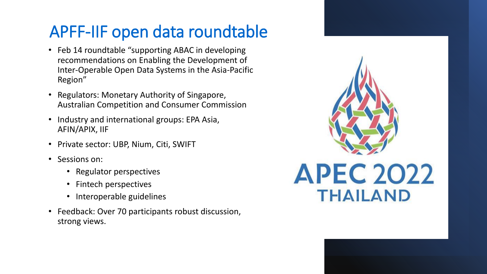### APFF-IIF open data roundtable

- Feb 14 roundtable "supporting ABAC in developing recommendations on Enabling the Development of Inter-Operable Open Data Systems in the Asia-Pacific Region"
- Regulators: Monetary Authority of Singapore, Australian Competition and Consumer Commission
- Industry and international groups: EPA Asia, AFIN/APIX, IIF
- Private sector: UBP, Nium, Citi, SWIFT
- Sessions on:
	- Regulator perspectives
	- Fintech perspectives
	- Interoperable guidelines
- Feedback: Over 70 participants robust discussion, strong views.

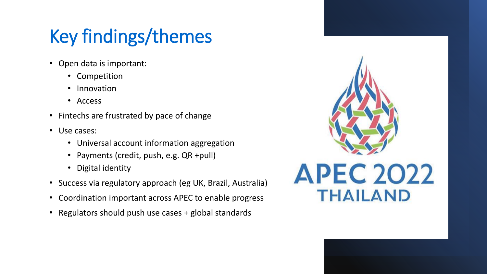## Key findings/themes

- Open data is important:
	- Competition
	- Innovation
	- Access
- Fintechs are frustrated by pace of change
- Use cases:
	- Universal account information aggregation
	- Payments (credit, push, e.g. QR +pull)
	- Digital identity
- Success via regulatory approach (eg UK, Brazil, Australia)
- Coordination important across APEC to enable progress
- Regulators should push use cases + global standards